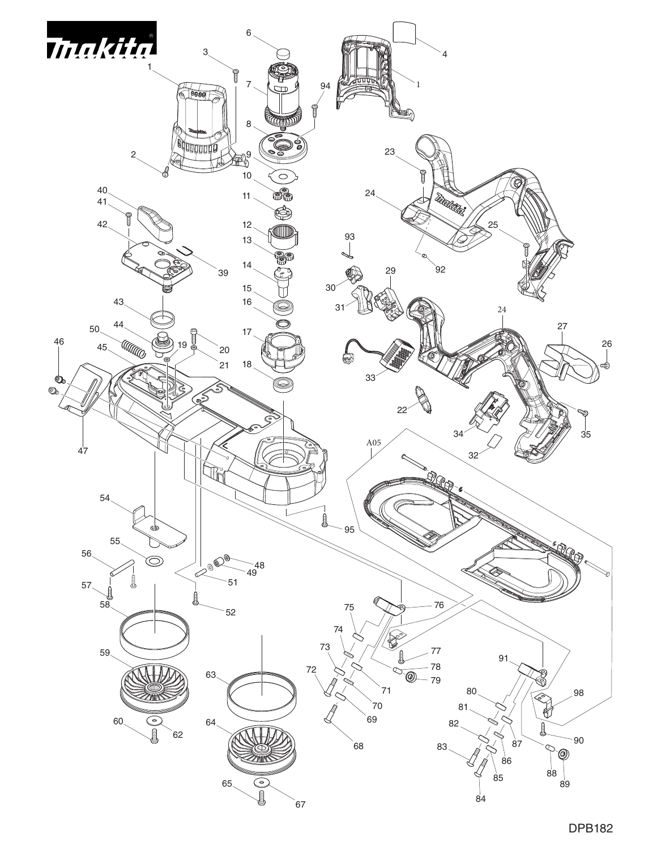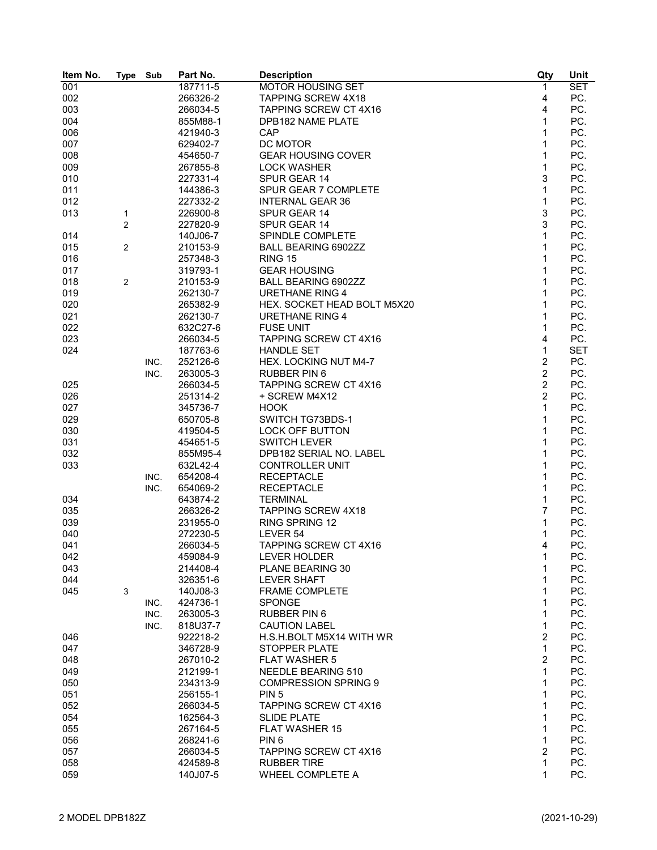| Item No. | <b>Type</b>    | Sub  | Part No. | <b>Description</b>           | Qty            | Unit       |
|----------|----------------|------|----------|------------------------------|----------------|------------|
| 001      |                |      | 187711-5 | <b>MOTOR HOUSING SET</b>     | 1              | <b>SET</b> |
| 002      |                |      | 266326-2 | <b>TAPPING SCREW 4X18</b>    | 4              | PC.        |
| 003      |                |      | 266034-5 | <b>TAPPING SCREW CT 4X16</b> | 4              | PC.        |
| 004      |                |      | 855M88-1 | DPB182 NAME PLATE            | 1              | PC.        |
| 006      |                |      | 421940-3 | CAP                          | 1              | PC.        |
| 007      |                |      | 629402-7 | DC MOTOR                     | 1              | PC.        |
| 008      |                |      | 454650-7 | <b>GEAR HOUSING COVER</b>    | 1              | PC.        |
| 009      |                |      | 267855-8 | <b>LOCK WASHER</b>           | $\mathbf{1}$   | PC.        |
| 010      |                |      | 227331-4 | SPUR GEAR 14                 | 3              | PC.        |
| 011      |                |      | 144386-3 | SPUR GEAR 7 COMPLETE         | $\mathbf{1}$   | PC.        |
| 012      |                |      | 227332-2 | <b>INTERNAL GEAR 36</b>      | $\mathbf{1}$   | PC.        |
| 013      | 1              |      | 226900-8 | SPUR GEAR 14                 | 3              | PC.        |
|          | $\overline{2}$ |      | 227820-9 | SPUR GEAR 14                 | 3              | PC.        |
| 014      |                |      | 140J06-7 | SPINDLE COMPLETE             | 1              | PC.        |
| 015      |                |      | 210153-9 | BALL BEARING 6902ZZ          | 1              | PC.        |
| 016      | 2              |      | 257348-3 | <b>RING 15</b>               | 1              | PC.        |
|          |                |      |          |                              |                | PC.        |
| 017      |                |      | 319793-1 | <b>GEAR HOUSING</b>          | 1              |            |
| 018      | 2              |      | 210153-9 | <b>BALL BEARING 6902ZZ</b>   | 1              | PC.        |
| 019      |                |      | 262130-7 | <b>URETHANE RING 4</b>       | 1              | PC.        |
| 020      |                |      | 265382-9 | HEX. SOCKET HEAD BOLT M5X20  | 1              | PC.        |
| 021      |                |      | 262130-7 | <b>URETHANE RING 4</b>       | 1              | PC.        |
| 022      |                |      | 632C27-6 | <b>FUSE UNIT</b>             | 1              | PC.        |
| 023      |                |      | 266034-5 | <b>TAPPING SCREW CT 4X16</b> | 4              | PC.        |
| 024      |                |      | 187763-6 | <b>HANDLE SET</b>            | $\mathbf{1}$   | <b>SET</b> |
|          |                | INC. | 252126-6 | HEX. LOCKING NUT M4-7        | $\overline{c}$ | PC.        |
|          |                | INC. | 263005-3 | <b>RUBBER PIN 6</b>          | $\overline{c}$ | PC.        |
| 025      |                |      | 266034-5 | <b>TAPPING SCREW CT 4X16</b> | $\overline{2}$ | PC.        |
| 026      |                |      | 251314-2 | + SCREW M4X12                | $\overline{2}$ | PC.        |
| 027      |                |      | 345736-7 | <b>HOOK</b>                  | $\mathbf{1}$   | PC.        |
| 029      |                |      | 650705-8 | SWITCH TG73BDS-1             | 1              | PC.        |
| 030      |                |      | 419504-5 | <b>LOCK OFF BUTTON</b>       | $\mathbf{1}$   | PC.        |
| 031      |                |      | 454651-5 | <b>SWITCH LEVER</b>          | 1              | PC.        |
| 032      |                |      | 855M95-4 | DPB182 SERIAL NO. LABEL      | 1              | PC.        |
| 033      |                |      | 632L42-4 | <b>CONTROLLER UNIT</b>       | 1              | PC.        |
|          |                | INC. | 654208-4 | <b>RECEPTACLE</b>            | 1              | PC.        |
|          |                | INC. | 654069-2 | <b>RECEPTACLE</b>            | 1              | PC.        |
| 034      |                |      | 643874-2 | <b>TERMINAL</b>              | 1              | PC.        |
| 035      |                |      | 266326-2 | <b>TAPPING SCREW 4X18</b>    | 7              | PC.        |
| 039      |                |      | 231955-0 | <b>RING SPRING 12</b>        | 1              | PC.        |
| 040      |                |      | 272230-5 | LEVER 54                     | 1              | PC.        |
| 041      |                |      | 266034-5 | <b>TAPPING SCREW CT 4X16</b> | 4              | PC.        |
| 042      |                |      | 459084-9 | LEVER HOLDER                 | 1              | PC.        |
| 043      |                |      | 214408-4 | PLANE BEARING 30             | 1              | PC.        |
| 044      |                |      | 326351-6 | <b>LEVER SHAFT</b>           | 1              | PC.        |
| 045      | 3              |      | 140J08-3 | <b>FRAME COMPLETE</b>        | 1              | PC.        |
|          |                | INC. | 424736-1 | <b>SPONGE</b>                | 1              | PC.        |
|          |                | INC. | 263005-3 | <b>RUBBER PIN 6</b>          | 1              | PC.        |
|          |                |      | 818U37-7 |                              | 1              |            |
|          |                | INC. |          | <b>CAUTION LABEL</b>         | $\overline{c}$ | PC.        |
| 046      |                |      | 922218-2 | H.S.H.BOLT M5X14 WITH WR     |                | PC.        |
| 047      |                |      | 346728-9 | <b>STOPPER PLATE</b>         | $\mathbf{1}$   | PC.        |
| 048      |                |      | 267010-2 | <b>FLAT WASHER 5</b>         | 2              | PC.        |
| 049      |                |      | 212199-1 | NEEDLE BEARING 510           | 1              | PC.        |
| 050      |                |      | 234313-9 | <b>COMPRESSION SPRING 9</b>  | 1              | PC.        |
| 051      |                |      | 256155-1 | PIN <sub>5</sub>             | 1              | PC.        |
| 052      |                |      | 266034-5 | <b>TAPPING SCREW CT 4X16</b> | 1              | PC.        |
| 054      |                |      | 162564-3 | <b>SLIDE PLATE</b>           | 1              | PC.        |
| 055      |                |      | 267164-5 | <b>FLAT WASHER 15</b>        | 1              | PC.        |
| 056      |                |      | 268241-6 | PIN <sub>6</sub>             | 1              | PC.        |
| 057      |                |      | 266034-5 | TAPPING SCREW CT 4X16        | 2              | PC.        |
| 058      |                |      | 424589-8 | <b>RUBBER TIRE</b>           | $\mathbf{1}$   | PC.        |
| 059      |                |      | 140J07-5 | WHEEL COMPLETE A             | 1              | PC.        |